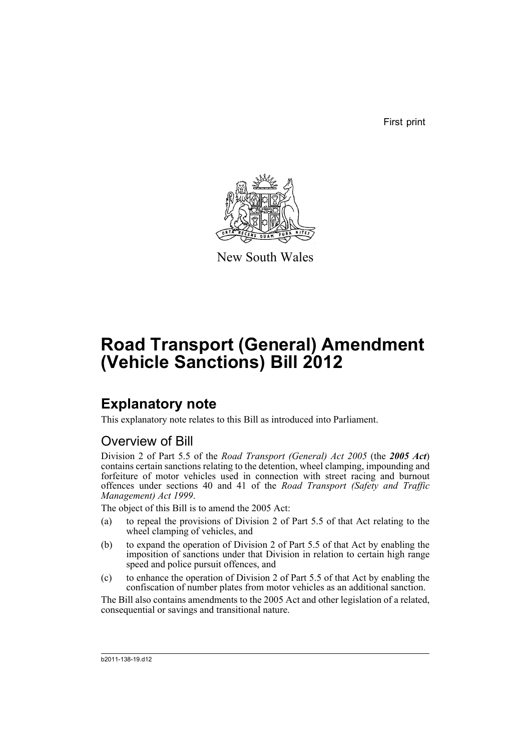First print



New South Wales

# **Road Transport (General) Amendment (Vehicle Sanctions) Bill 2012**

# **Explanatory note**

This explanatory note relates to this Bill as introduced into Parliament.

## Overview of Bill

Division 2 of Part 5.5 of the *Road Transport (General) Act 2005* (the *2005 Act*) contains certain sanctions relating to the detention, wheel clamping, impounding and forfeiture of motor vehicles used in connection with street racing and burnout offences under sections 40 and 41 of the *Road Transport (Safety and Traffic Management) Act 1999*.

The object of this Bill is to amend the 2005 Act:

- (a) to repeal the provisions of Division 2 of Part 5.5 of that Act relating to the wheel clamping of vehicles, and
- (b) to expand the operation of Division 2 of Part 5.5 of that Act by enabling the imposition of sanctions under that Division in relation to certain high range speed and police pursuit offences, and
- (c) to enhance the operation of Division 2 of Part 5.5 of that Act by enabling the confiscation of number plates from motor vehicles as an additional sanction.

The Bill also contains amendments to the 2005 Act and other legislation of a related, consequential or savings and transitional nature.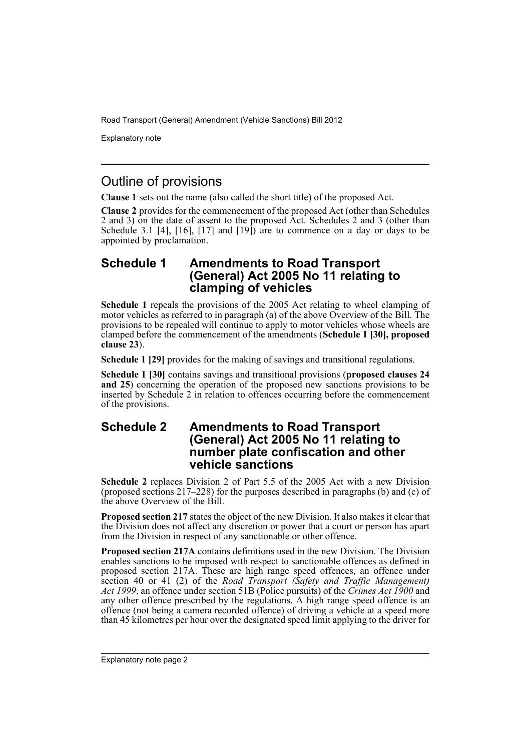Explanatory note

## Outline of provisions

**Clause 1** sets out the name (also called the short title) of the proposed Act.

**Clause 2** provides for the commencement of the proposed Act (other than Schedules 2 and 3) on the date of assent to the proposed Act. Schedules 2 and 3 (other than Schedule 3.1 [4], [16], [17] and [19]) are to commence on a day or days to be appointed by proclamation.

### **Schedule 1 Amendments to Road Transport (General) Act 2005 No 11 relating to clamping of vehicles**

**Schedule 1** repeals the provisions of the 2005 Act relating to wheel clamping of motor vehicles as referred to in paragraph (a) of the above Overview of the Bill. The provisions to be repealed will continue to apply to motor vehicles whose wheels are clamped before the commencement of the amendments (**Schedule 1 [30], proposed clause 23**).

**Schedule 1 [29]** provides for the making of savings and transitional regulations.

**Schedule 1 [30]** contains savings and transitional provisions (**proposed clauses 24 and 25**) concerning the operation of the proposed new sanctions provisions to be inserted by Schedule 2 in relation to offences occurring before the commencement of the provisions.

### **Schedule 2 Amendments to Road Transport (General) Act 2005 No 11 relating to number plate confiscation and other vehicle sanctions**

**Schedule 2** replaces Division 2 of Part 5.5 of the 2005 Act with a new Division (proposed sections 217–228) for the purposes described in paragraphs (b) and (c) of the above Overview of the Bill.

**Proposed section 217** states the object of the new Division. It also makes it clear that the Division does not affect any discretion or power that a court or person has apart from the Division in respect of any sanctionable or other offence.

**Proposed section 217A** contains definitions used in the new Division. The Division enables sanctions to be imposed with respect to sanctionable offences as defined in proposed section 217A. These are high range speed offences, an offence under section 40 or 41 (2) of the *Road Transport (Safety and Traffic Management) Act 1999*, an offence under section 51B (Police pursuits) of the *Crimes Act 1900* and any other offence prescribed by the regulations. A high range speed offence is an offence (not being a camera recorded offence) of driving a vehicle at a speed more than 45 kilometres per hour over the designated speed limit applying to the driver for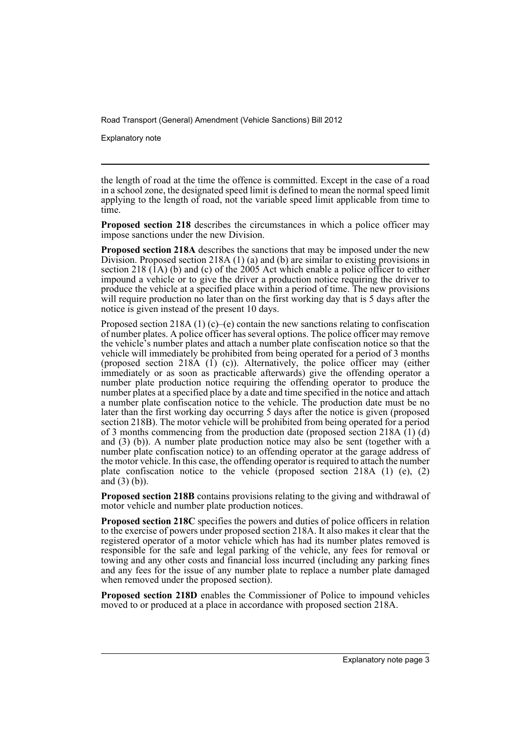Explanatory note

the length of road at the time the offence is committed. Except in the case of a road in a school zone, the designated speed limit is defined to mean the normal speed limit applying to the length of road, not the variable speed limit applicable from time to time.

**Proposed section 218** describes the circumstances in which a police officer may impose sanctions under the new Division.

**Proposed section 218A** describes the sanctions that may be imposed under the new Division. Proposed section 218A (1) (a) and (b) are similar to existing provisions in section 218  $(1A)$  (b) and (c) of the 2005 Act which enable a police officer to either impound a vehicle or to give the driver a production notice requiring the driver to produce the vehicle at a specified place within a period of time. The new provisions will require production no later than on the first working day that is 5 days after the notice is given instead of the present 10 days.

Proposed section 218A (1) (c)–(e) contain the new sanctions relating to confiscation of number plates. A police officer has several options. The police officer may remove the vehicle's number plates and attach a number plate confiscation notice so that the vehicle will immediately be prohibited from being operated for a period of 3 months (proposed section 218A  $(1)$   $(c)$ ). Alternatively, the police officer may (either immediately or as soon as practicable afterwards) give the offending operator a number plate production notice requiring the offending operator to produce the number plates at a specified place by a date and time specified in the notice and attach a number plate confiscation notice to the vehicle. The production date must be no later than the first working day occurring 5 days after the notice is given (proposed section 218B). The motor vehicle will be prohibited from being operated for a period of 3 months commencing from the production date (proposed section 218A $(1)$  $(d)$ ) and (3) (b)). A number plate production notice may also be sent (together with a number plate confiscation notice) to an offending operator at the garage address of the motor vehicle. In this case, the offending operator is required to attach the number plate confiscation notice to the vehicle (proposed section 218A (1) (e), (2) and  $(3)$  (b)).

**Proposed section 218B** contains provisions relating to the giving and withdrawal of motor vehicle and number plate production notices.

**Proposed section 218C** specifies the powers and duties of police officers in relation to the exercise of powers under proposed section 218A. It also makes it clear that the registered operator of a motor vehicle which has had its number plates removed is responsible for the safe and legal parking of the vehicle, any fees for removal or towing and any other costs and financial loss incurred (including any parking fines and any fees for the issue of any number plate to replace a number plate damaged when removed under the proposed section).

**Proposed section 218D** enables the Commissioner of Police to impound vehicles moved to or produced at a place in accordance with proposed section 218A.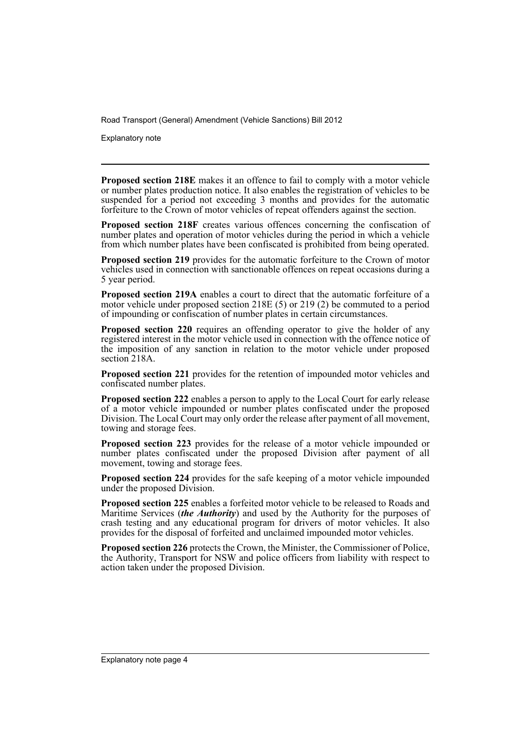Explanatory note

**Proposed section 218E** makes it an offence to fail to comply with a motor vehicle or number plates production notice. It also enables the registration of vehicles to be suspended for a period not exceeding 3 months and provides for the automatic forfeiture to the Crown of motor vehicles of repeat offenders against the section.

**Proposed section 218F** creates various offences concerning the confiscation of number plates and operation of motor vehicles during the period in which a vehicle from which number plates have been confiscated is prohibited from being operated.

**Proposed section 219** provides for the automatic forfeiture to the Crown of motor vehicles used in connection with sanctionable offences on repeat occasions during a 5 year period.

**Proposed section 219A** enables a court to direct that the automatic forfeiture of a motor vehicle under proposed section 218E (5) or 219 (2) be commuted to a period of impounding or confiscation of number plates in certain circumstances.

**Proposed section 220** requires an offending operator to give the holder of any registered interest in the motor vehicle used in connection with the offence notice of the imposition of any sanction in relation to the motor vehicle under proposed section 218A

**Proposed section 221** provides for the retention of impounded motor vehicles and confiscated number plates.

**Proposed section 222** enables a person to apply to the Local Court for early release of a motor vehicle impounded or number plates confiscated under the proposed Division. The Local Court may only order the release after payment of all movement, towing and storage fees.

**Proposed section 223** provides for the release of a motor vehicle impounded or number plates confiscated under the proposed Division after payment of all movement, towing and storage fees.

**Proposed section 224** provides for the safe keeping of a motor vehicle impounded under the proposed Division.

**Proposed section 225** enables a forfeited motor vehicle to be released to Roads and Maritime Services (*the Authority*) and used by the Authority for the purposes of crash testing and any educational program for drivers of motor vehicles. It also provides for the disposal of forfeited and unclaimed impounded motor vehicles.

**Proposed section 226** protects the Crown, the Minister, the Commissioner of Police, the Authority, Transport for NSW and police officers from liability with respect to action taken under the proposed Division.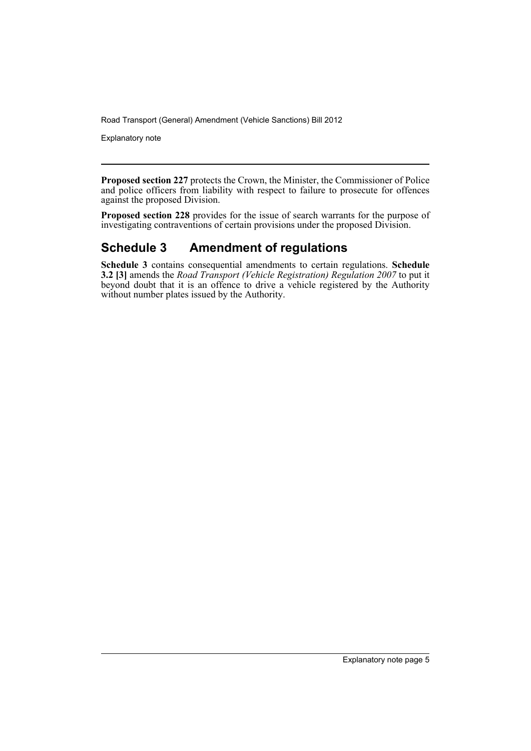Explanatory note

**Proposed section 227** protects the Crown, the Minister, the Commissioner of Police and police officers from liability with respect to failure to prosecute for offences against the proposed Division.

**Proposed section 228** provides for the issue of search warrants for the purpose of investigating contraventions of certain provisions under the proposed Division.

## **Schedule 3 Amendment of regulations**

**Schedule 3** contains consequential amendments to certain regulations. **Schedule 3.2 [3]** amends the *Road Transport (Vehicle Registration) Regulation 2007* to put it beyond doubt that it is an offence to drive a vehicle registered by the Authority without number plates issued by the Authority.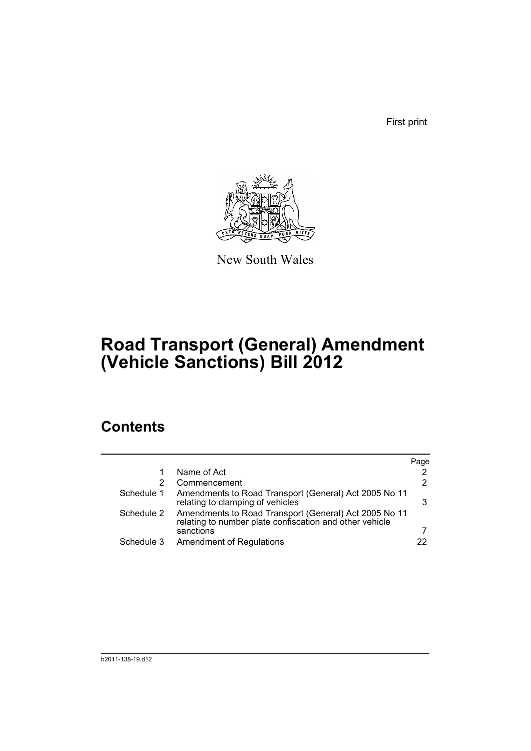First print



New South Wales

# **Road Transport (General) Amendment (Vehicle Sanctions) Bill 2012**

# **Contents**

|            |                                                                                                                  | Page |
|------------|------------------------------------------------------------------------------------------------------------------|------|
|            | Name of Act                                                                                                      | 2    |
| 2          | Commencement                                                                                                     | 2    |
| Schedule 1 | Amendments to Road Transport (General) Act 2005 No 11<br>relating to clamping of vehicles                        | 3    |
| Schedule 2 | Amendments to Road Transport (General) Act 2005 No 11<br>relating to number plate confiscation and other vehicle |      |
|            | sanctions                                                                                                        |      |
| Schedule 3 | <b>Amendment of Regulations</b>                                                                                  | 22   |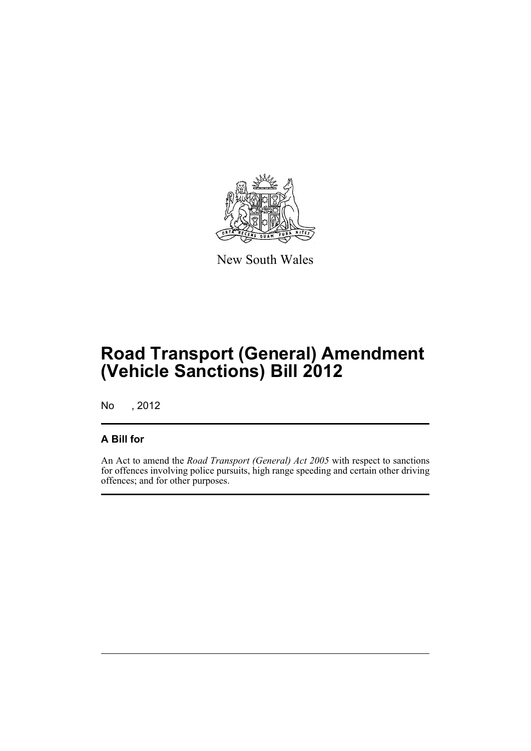

New South Wales

# **Road Transport (General) Amendment (Vehicle Sanctions) Bill 2012**

No , 2012

### **A Bill for**

An Act to amend the *Road Transport (General) Act 2005* with respect to sanctions for offences involving police pursuits, high range speeding and certain other driving offences; and for other purposes.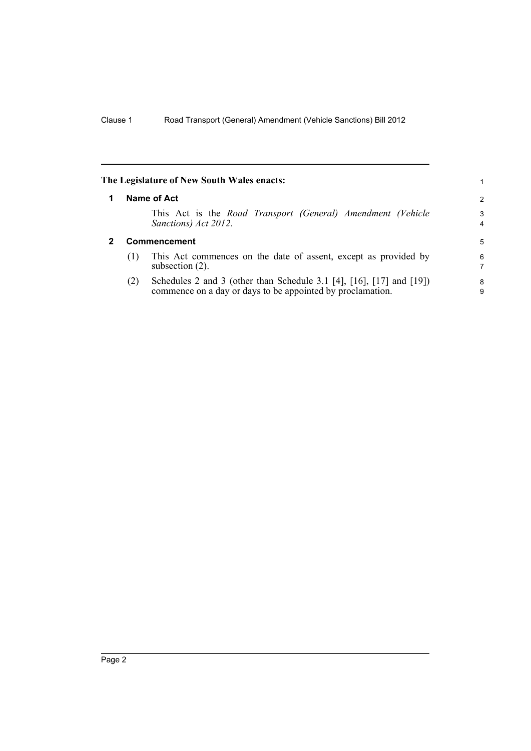<span id="page-9-1"></span><span id="page-9-0"></span>

| The Legislature of New South Wales enacts:<br>1 |                                                                                                                                    |        |  |
|-------------------------------------------------|------------------------------------------------------------------------------------------------------------------------------------|--------|--|
|                                                 | Name of Act                                                                                                                        | 2      |  |
|                                                 | This Act is the Road Transport (General) Amendment (Vehicle<br>Sanctions) Act 2012.                                                | 3<br>4 |  |
| <b>Commencement</b>                             |                                                                                                                                    | 5      |  |
| (1)                                             | This Act commences on the date of assent, except as provided by<br>subsection $(2)$ .                                              | 6<br>7 |  |
| (2)                                             | Schedules 2 and 3 (other than Schedule 3.1 [4], [16], [17] and [19])<br>commence on a day or days to be appointed by proclamation. | 8<br>9 |  |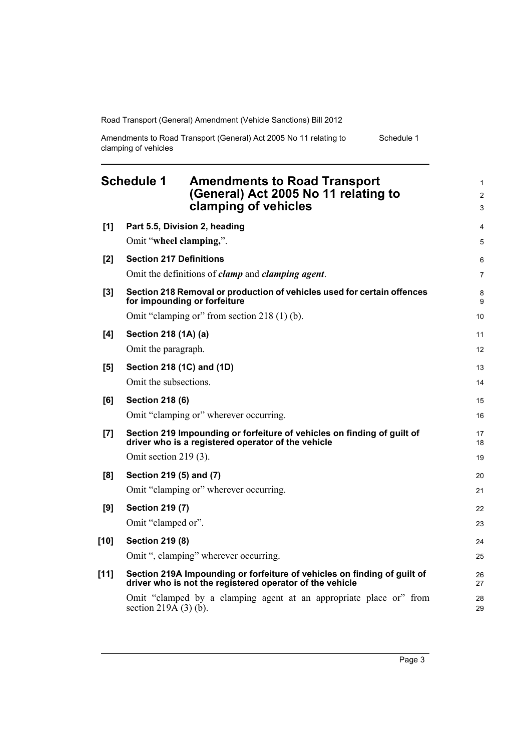| Amendments to Road Transport (General) Act 2005 No 11 relating to | Schedule 1 |
|-------------------------------------------------------------------|------------|
| clamping of vehicles                                              |            |

<span id="page-10-0"></span>

|        | <b>Schedule 1</b><br><b>Amendments to Road Transport</b><br>(General) Act 2005 No 11 relating to<br>clamping of vehicles             | 1<br>$\overline{2}$<br>3 |
|--------|--------------------------------------------------------------------------------------------------------------------------------------|--------------------------|
| [1]    | Part 5.5, Division 2, heading                                                                                                        | $\overline{4}$           |
|        | Omit "wheel clamping,".                                                                                                              | 5                        |
| $[2]$  | <b>Section 217 Definitions</b>                                                                                                       | 6                        |
|        | Omit the definitions of <i>clamp</i> and <i>clamping agent</i> .                                                                     | 7                        |
| [3]    | Section 218 Removal or production of vehicles used for certain offences<br>for impounding or forfeiture                              | 8<br>9                   |
|        | Omit "clamping or" from section 218 (1) (b).                                                                                         | 10                       |
| [4]    | Section 218 (1A) (a)                                                                                                                 | 11                       |
|        | Omit the paragraph.                                                                                                                  | 12                       |
| [5]    | Section 218 (1C) and (1D)                                                                                                            | 13                       |
|        | Omit the subsections.                                                                                                                | 14                       |
| [6]    | <b>Section 218 (6)</b>                                                                                                               | 15                       |
|        | Omit "clamping or" wherever occurring.                                                                                               | 16                       |
| [7]    | Section 219 Impounding or forfeiture of vehicles on finding of guilt of<br>driver who is a registered operator of the vehicle        | 17<br>18                 |
|        | Omit section $219(3)$ .                                                                                                              | 19                       |
| [8]    | Section 219 (5) and (7)                                                                                                              | 20                       |
|        | Omit "clamping or" wherever occurring.                                                                                               | 21                       |
| [9]    | <b>Section 219 (7)</b>                                                                                                               | 22                       |
|        | Omit "clamped or".                                                                                                                   | 23                       |
| $[10]$ | <b>Section 219 (8)</b>                                                                                                               | 24                       |
|        | Omit ", clamping" wherever occurring.                                                                                                | 25                       |
| $[11]$ | Section 219A Impounding or forfeiture of vehicles on finding of guilt of<br>driver who is not the registered operator of the vehicle | 26<br>27                 |
|        | Omit "clamped by a clamping agent at an appropriate place or" from<br>section $219\overline{A}$ (3) (b).                             | 28<br>29                 |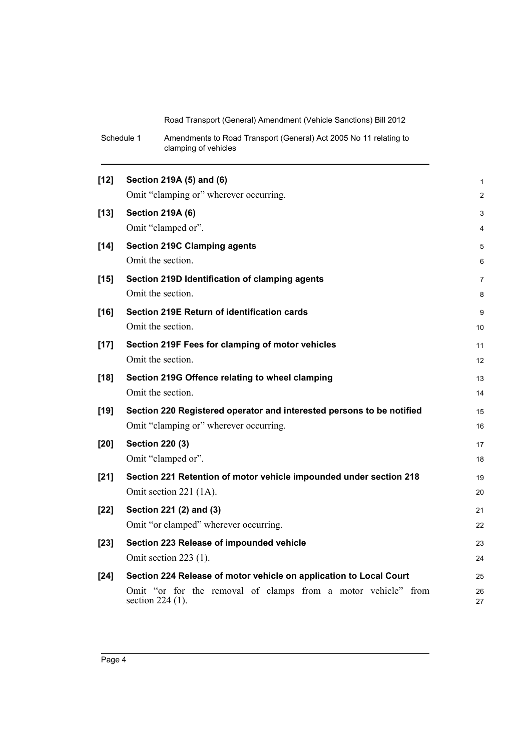| Schedule 1 | Amendments to Road Transport (General) Act 2005 No 11 relating to |
|------------|-------------------------------------------------------------------|
|            | clamping of vehicles                                              |

| $[12]$ | Section 219A (5) and (6)                                                          | 1              |
|--------|-----------------------------------------------------------------------------------|----------------|
|        | Omit "clamping or" wherever occurring.                                            | $\overline{c}$ |
| $[13]$ | <b>Section 219A (6)</b>                                                           | 3              |
|        | Omit "clamped or".                                                                | 4              |
| $[14]$ | <b>Section 219C Clamping agents</b>                                               | 5              |
|        | Omit the section.                                                                 | 6              |
| $[15]$ | Section 219D Identification of clamping agents                                    | 7              |
|        | Omit the section.                                                                 | 8              |
| $[16]$ | Section 219E Return of identification cards                                       | 9              |
|        | Omit the section.                                                                 | 10             |
| $[17]$ | Section 219F Fees for clamping of motor vehicles                                  | 11             |
|        | Omit the section.                                                                 | 12             |
| $[18]$ | Section 219G Offence relating to wheel clamping                                   | 13             |
|        | Omit the section.                                                                 | 14             |
| $[19]$ | Section 220 Registered operator and interested persons to be notified             | 15             |
|        | Omit "clamping or" wherever occurring.                                            | 16             |
| [20]   | <b>Section 220 (3)</b>                                                            | 17             |
|        | Omit "clamped or".                                                                | 18             |
| $[21]$ | Section 221 Retention of motor vehicle impounded under section 218                | 19             |
|        | Omit section 221 (1A).                                                            | 20             |
| $[22]$ | Section 221 (2) and (3)                                                           | 21             |
|        | Omit "or clamped" wherever occurring.                                             | 22             |
| $[23]$ | Section 223 Release of impounded vehicle                                          | 23             |
|        | Omit section $223$ (1).                                                           | 24             |
| $[24]$ | Section 224 Release of motor vehicle on application to Local Court                | 25             |
|        | Omit "or for the removal of clamps from a motor vehicle" from<br>section 224 (1). | 26<br>27       |
|        |                                                                                   |                |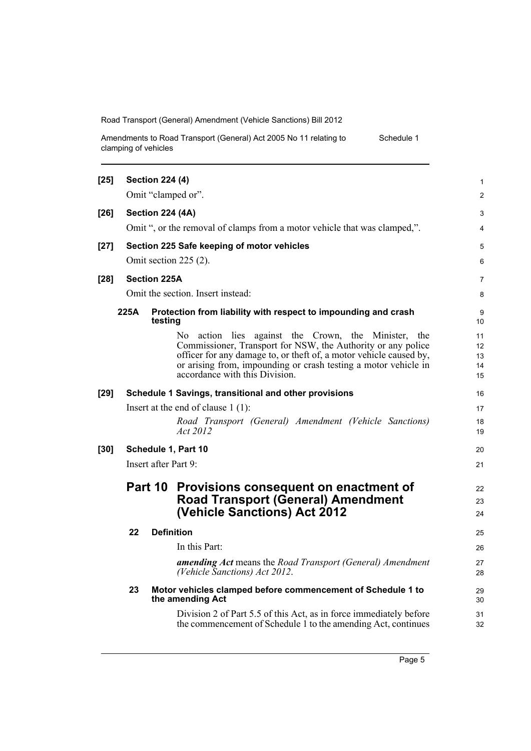| Amendments to Road Transport (General) Act 2005 No 11 relating to | Schedule 1 |
|-------------------------------------------------------------------|------------|
| clamping of vehicles                                              |            |

| $[25]$               |                    | <b>Section 224 (4)</b>  |                                                                                                                                                                                                                                                                                                | 1                          |  |
|----------------------|--------------------|-------------------------|------------------------------------------------------------------------------------------------------------------------------------------------------------------------------------------------------------------------------------------------------------------------------------------------|----------------------------|--|
|                      | Omit "clamped or". |                         |                                                                                                                                                                                                                                                                                                |                            |  |
| $[26]$               |                    | <b>Section 224 (4A)</b> |                                                                                                                                                                                                                                                                                                | 3                          |  |
|                      |                    |                         | Omit ", or the removal of clamps from a motor vehicle that was clamped,".                                                                                                                                                                                                                      | 4                          |  |
| $[27]$               |                    |                         | Section 225 Safe keeping of motor vehicles                                                                                                                                                                                                                                                     | 5                          |  |
|                      |                    |                         | Omit section $225(2)$ .                                                                                                                                                                                                                                                                        | 6                          |  |
| $[28]$               |                    | <b>Section 225A</b>     |                                                                                                                                                                                                                                                                                                | 7                          |  |
|                      |                    |                         | Omit the section. Insert instead:                                                                                                                                                                                                                                                              | 8                          |  |
|                      | 225A               | testing                 | Protection from liability with respect to impounding and crash                                                                                                                                                                                                                                 | 9<br>10                    |  |
|                      |                    |                         | No action lies against the Crown, the Minister, the<br>Commissioner, Transport for NSW, the Authority or any police<br>officer for any damage to, or theft of, a motor vehicle caused by,<br>or arising from, impounding or crash testing a motor vehicle in<br>accordance with this Division. | 11<br>12<br>13<br>14<br>15 |  |
| $[29]$               |                    |                         | Schedule 1 Savings, transitional and other provisions                                                                                                                                                                                                                                          | 16                         |  |
|                      |                    |                         | Insert at the end of clause $1(1)$ :                                                                                                                                                                                                                                                           | 17                         |  |
|                      |                    |                         | Road Transport (General) Amendment (Vehicle Sanctions)<br>Act 2012                                                                                                                                                                                                                             | 18<br>19                   |  |
| $[30]$               |                    |                         | Schedule 1, Part 10                                                                                                                                                                                                                                                                            | 20                         |  |
| Insert after Part 9: |                    |                         | 21                                                                                                                                                                                                                                                                                             |                            |  |
|                      |                    |                         | Part 10 Provisions consequent on enactment of<br><b>Road Transport (General) Amendment</b><br>(Vehicle Sanctions) Act 2012                                                                                                                                                                     | 22<br>23<br>24             |  |
|                      | 22                 |                         | <b>Definition</b>                                                                                                                                                                                                                                                                              | 25                         |  |
|                      |                    |                         | In this Part:                                                                                                                                                                                                                                                                                  | 26                         |  |
|                      |                    |                         | <b>amending Act</b> means the Road Transport (General) Amendment<br>(Vehicle Sanctions) Act 2012.                                                                                                                                                                                              | 27<br>28                   |  |
|                      | 23                 |                         | Motor vehicles clamped before commencement of Schedule 1 to<br>the amending Act                                                                                                                                                                                                                | 29<br>30                   |  |
|                      |                    |                         | Division 2 of Part 5.5 of this Act, as in force immediately before<br>the commencement of Schedule 1 to the amending Act, continues                                                                                                                                                            | 31<br>32                   |  |
|                      |                    |                         |                                                                                                                                                                                                                                                                                                |                            |  |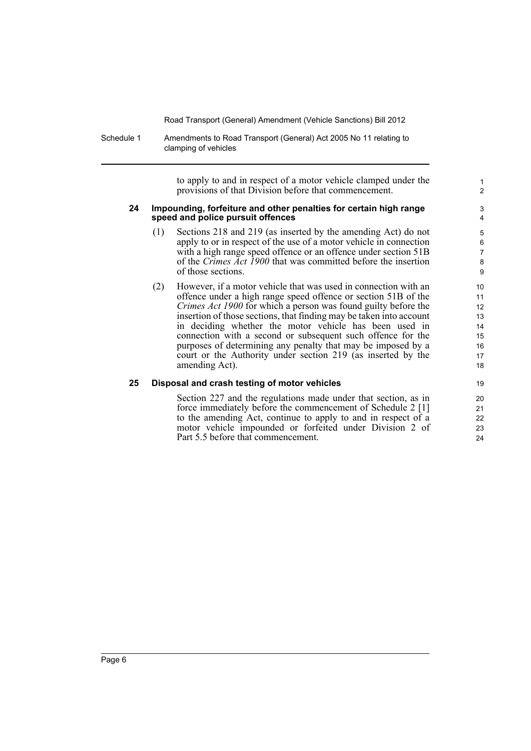Schedule 1 Amendments to Road Transport (General) Act 2005 No 11 relating to clamping of vehicles

> to apply to and in respect of a motor vehicle clamped under the provisions of that Division before that commencement.

#### **24 Impounding, forfeiture and other penalties for certain high range speed and police pursuit offences**

- (1) Sections 218 and 219 (as inserted by the amending Act) do not apply to or in respect of the use of a motor vehicle in connection with a high range speed offence or an offence under section 51B of the *Crimes Act 1900* that was committed before the insertion of those sections.
- (2) However, if a motor vehicle that was used in connection with an offence under a high range speed offence or section 51B of the *Crimes Act 1900* for which a person was found guilty before the insertion of those sections, that finding may be taken into account in deciding whether the motor vehicle has been used in connection with a second or subsequent such offence for the purposes of determining any penalty that may be imposed by a court or the Authority under section 219 (as inserted by the amending Act).

#### **25 Disposal and crash testing of motor vehicles**

Section 227 and the regulations made under that section, as in force immediately before the commencement of Schedule 2 [1] to the amending Act, continue to apply to and in respect of a motor vehicle impounded or forfeited under Division 2 of Part 5.5 before that commencement.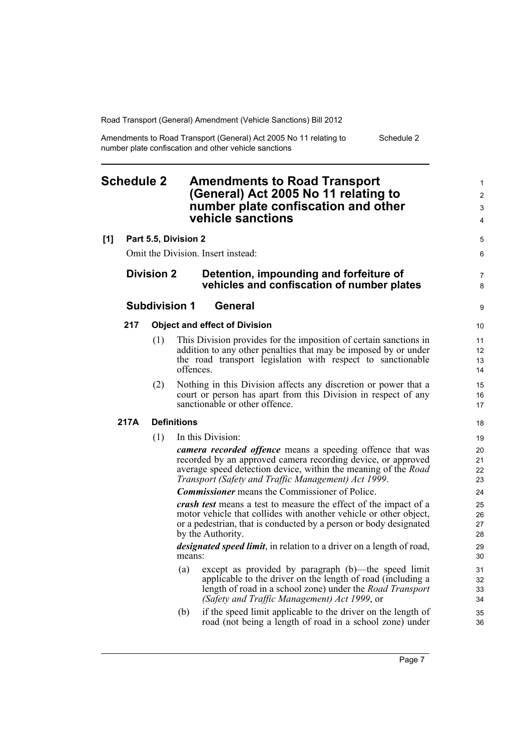Amendments to Road Transport (General) Act 2005 No 11 relating to number plate confiscation and other vehicle sanctions Schedule 2

### <span id="page-14-0"></span>**Schedule 2 Amendments to Road Transport (General) Act 2005 No 11 relating to number plate confiscation and other vehicle sanctions**

#### **[1] Part 5.5, Division 2**

Omit the Division. Insert instead:

### **Division 2 Detention, impounding and forfeiture of vehicles and confiscation of number plates**

#### **Subdivision 1 General**

#### **217 Object and effect of Division**

- (1) This Division provides for the imposition of certain sanctions in addition to any other penalties that may be imposed by or under the road transport legislation with respect to sanctionable offences.
- (2) Nothing in this Division affects any discretion or power that a court or person has apart from this Division in respect of any sanctionable or other offence.

#### **217A Definitions**

(1) In this Division:

*camera recorded offence* means a speeding offence that was recorded by an approved camera recording device, or approved average speed detection device, within the meaning of the *Road Transport (Safety and Traffic Management) Act 1999*.

*Commissioner* means the Commissioner of Police.

*crash test* means a test to measure the effect of the impact of a motor vehicle that collides with another vehicle or other object, or a pedestrian, that is conducted by a person or body designated by the Authority.

*designated speed limit*, in relation to a driver on a length of road, means:

- (a) except as provided by paragraph (b)—the speed limit applicable to the driver on the length of road (including a length of road in a school zone) under the *Road Transport (Safety and Traffic Management) Act 1999*, or
- (b) if the speed limit applicable to the driver on the length of road (not being a length of road in a school zone) under

5 6

7 8

9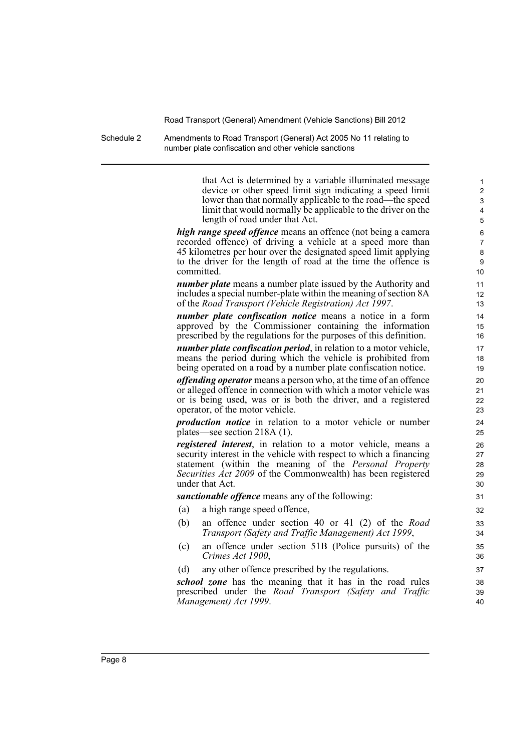Schedule 2 Amendments to Road Transport (General) Act 2005 No 11 relating to number plate confiscation and other vehicle sanctions

> that Act is determined by a variable illuminated message device or other speed limit sign indicating a speed limit lower than that normally applicable to the road—the speed limit that would normally be applicable to the driver on the length of road under that Act.

*high range speed offence* means an offence (not being a camera recorded offence) of driving a vehicle at a speed more than 45 kilometres per hour over the designated speed limit applying to the driver for the length of road at the time the offence is committed.

*number plate* means a number plate issued by the Authority and includes a special number-plate within the meaning of section 8A of the *Road Transport (Vehicle Registration) Act 1997*.

*number plate confiscation notice* means a notice in a form approved by the Commissioner containing the information prescribed by the regulations for the purposes of this definition.

*number plate confiscation period*, in relation to a motor vehicle, means the period during which the vehicle is prohibited from being operated on a road by a number plate confiscation notice.

*offending operator* means a person who, at the time of an offence or alleged offence in connection with which a motor vehicle was or is being used, was or is both the driver, and a registered operator, of the motor vehicle.

*production notice* in relation to a motor vehicle or number plates—see section 218A (1).

*registered interest*, in relation to a motor vehicle, means a security interest in the vehicle with respect to which a financing statement (within the meaning of the *Personal Property Securities Act 2009* of the Commonwealth) has been registered under that Act.

*sanctionable offence* means any of the following:

- (a) a high range speed offence,
- (b) an offence under section 40 or 41 (2) of the *Road Transport (Safety and Traffic Management) Act 1999*,
- (c) an offence under section 51B (Police pursuits) of the *Crimes Act 1900*,
- (d) any other offence prescribed by the regulations.

*school zone* has the meaning that it has in the road rules prescribed under the *Road Transport (Safety and Traffic Management) Act 1999*.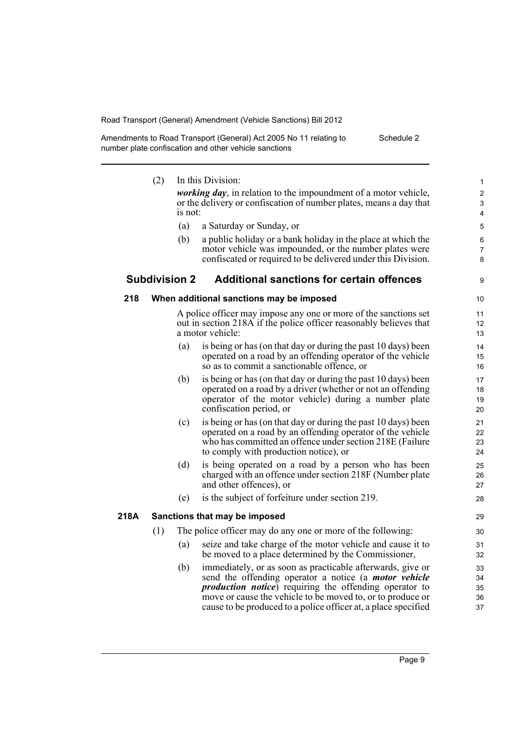| Amendments to Road Transport (General) Act 2005 No 11 relating to | Schedule 2 |
|-------------------------------------------------------------------|------------|
| number plate confiscation and other vehicle sanctions             |            |

|      | (2) |                      | In this Division:                                                                                                                                                                                                                                                                                                            | 1                                    |
|------|-----|----------------------|------------------------------------------------------------------------------------------------------------------------------------------------------------------------------------------------------------------------------------------------------------------------------------------------------------------------------|--------------------------------------|
|      |     | is not:              | <i>working day</i> , in relation to the impoundment of a motor vehicle,<br>or the delivery or confiscation of number plates, means a day that                                                                                                                                                                                | $\boldsymbol{2}$<br>$\mathsf 3$<br>4 |
|      |     | (a)                  | a Saturday or Sunday, or                                                                                                                                                                                                                                                                                                     | 5                                    |
|      |     | (b)                  | a public holiday or a bank holiday in the place at which the                                                                                                                                                                                                                                                                 | 6                                    |
|      |     |                      | motor vehicle was impounded, or the number plates were<br>confiscated or required to be delivered under this Division.                                                                                                                                                                                                       | 7<br>8                               |
|      |     | <b>Subdivision 2</b> | <b>Additional sanctions for certain offences</b>                                                                                                                                                                                                                                                                             | 9                                    |
| 218  |     |                      | When additional sanctions may be imposed                                                                                                                                                                                                                                                                                     | 10                                   |
|      |     |                      | A police officer may impose any one or more of the sanctions set<br>out in section 218A if the police officer reasonably believes that<br>a motor vehicle:                                                                                                                                                                   | 11<br>$12 \overline{ }$<br>13        |
|      |     | (a)                  | is being or has (on that day or during the past 10 days) been<br>operated on a road by an offending operator of the vehicle<br>so as to commit a sanctionable offence, or                                                                                                                                                    | 14<br>15<br>16                       |
|      |     | (b)                  | is being or has (on that day or during the past 10 days) been<br>operated on a road by a driver (whether or not an offending<br>operator of the motor vehicle) during a number plate<br>confiscation period, or                                                                                                              | 17<br>18<br>19<br>20                 |
|      |     | (c)                  | is being or has (on that day or during the past 10 days) been<br>operated on a road by an offending operator of the vehicle<br>who has committed an offence under section 218E (Failure<br>to comply with production notice), or                                                                                             | 21<br>22<br>23<br>24                 |
|      |     | (d)                  | is being operated on a road by a person who has been<br>charged with an offence under section 218F (Number plate<br>and other offences), or                                                                                                                                                                                  | 25<br>26<br>27                       |
|      |     | (e)                  | is the subject of forfeiture under section 219.                                                                                                                                                                                                                                                                              | 28                                   |
| 218A |     |                      | Sanctions that may be imposed                                                                                                                                                                                                                                                                                                | 29                                   |
|      | (1) |                      | The police officer may do any one or more of the following:                                                                                                                                                                                                                                                                  | 30                                   |
|      |     | (a)                  | seize and take charge of the motor vehicle and cause it to<br>be moved to a place determined by the Commissioner,                                                                                                                                                                                                            | 31<br>32                             |
|      |     | (b)                  | immediately, or as soon as practicable afterwards, give or<br>send the offending operator a notice (a <i>motor vehicle</i><br><i>production notice</i> ) requiring the offending operator to<br>move or cause the vehicle to be moved to, or to produce or<br>cause to be produced to a police officer at, a place specified | 33<br>34<br>35<br>36<br>37           |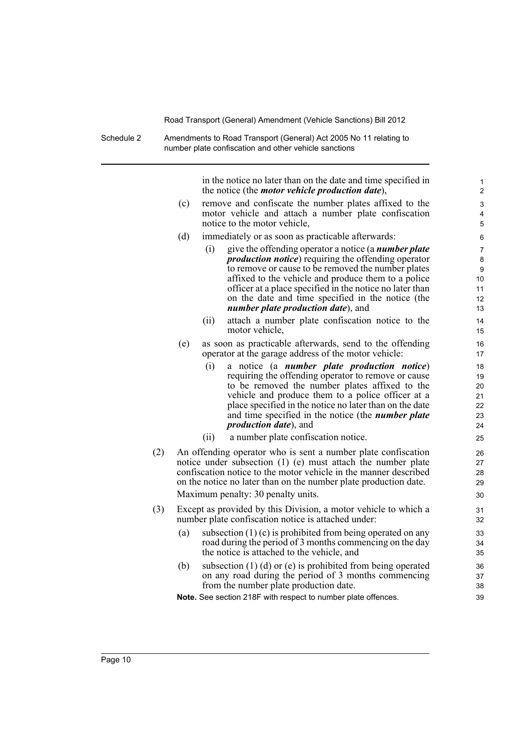Schedule 2 Amendments to Road Transport (General) Act 2005 No 11 relating to number plate confiscation and other vehicle sanctions

> in the notice no later than on the date and time specified in the notice (the *motor vehicle production date*),

- (c) remove and confiscate the number plates affixed to the motor vehicle and attach a number plate confiscation notice to the motor vehicle,
- (d) immediately or as soon as practicable afterwards:
	- (i) give the offending operator a notice (a *number plate production notice*) requiring the offending operator to remove or cause to be removed the number plates affixed to the vehicle and produce them to a police officer at a place specified in the notice no later than on the date and time specified in the notice (the *number plate production date*), and
	- (ii) attach a number plate confiscation notice to the motor vehicle,
- (e) as soon as practicable afterwards, send to the offending operator at the garage address of the motor vehicle:
	- (i) a notice (a *number plate production notice*) requiring the offending operator to remove or cause to be removed the number plates affixed to the vehicle and produce them to a police officer at a place specified in the notice no later than on the date and time specified in the notice (the *number plate production date*), and
	- (ii) a number plate confiscation notice.
- (2) An offending operator who is sent a number plate confiscation notice under subsection (1) (e) must attach the number plate confiscation notice to the motor vehicle in the manner described on the notice no later than on the number plate production date. Maximum penalty: 30 penalty units.
- (3) Except as provided by this Division, a motor vehicle to which a number plate confiscation notice is attached under:
	- (a) subsection  $(1)(c)$  is prohibited from being operated on any road during the period of 3 months commencing on the day the notice is attached to the vehicle, and
	- (b) subsection (1) (d) or (e) is prohibited from being operated on any road during the period of 3 months commencing from the number plate production date.

**Note.** See section 218F with respect to number plate offences.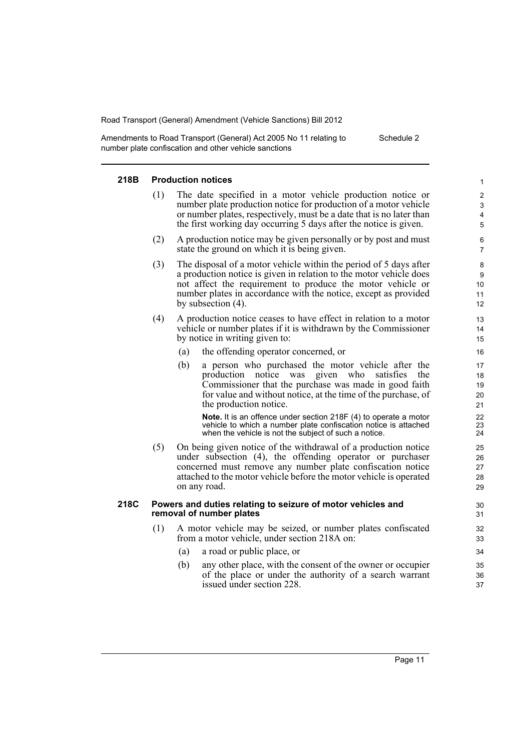Amendments to Road Transport (General) Act 2005 No 11 relating to number plate confiscation and other vehicle sanctions Schedule 2

#### **218B Production notices**

- (1) The date specified in a motor vehicle production notice or number plate production notice for production of a motor vehicle or number plates, respectively, must be a date that is no later than the first working day occurring 5 days after the notice is given.
- (2) A production notice may be given personally or by post and must state the ground on which it is being given.
- (3) The disposal of a motor vehicle within the period of 5 days after a production notice is given in relation to the motor vehicle does not affect the requirement to produce the motor vehicle or number plates in accordance with the notice, except as provided by subsection (4).
- (4) A production notice ceases to have effect in relation to a motor vehicle or number plates if it is withdrawn by the Commissioner by notice in writing given to:
	- (a) the offending operator concerned, or
	- (b) a person who purchased the motor vehicle after the production notice was given who satisfies the Commissioner that the purchase was made in good faith for value and without notice, at the time of the purchase, of the production notice.

**Note.** It is an offence under section 218F (4) to operate a motor vehicle to which a number plate confiscation notice is attached when the vehicle is not the subject of such a notice.

(5) On being given notice of the withdrawal of a production notice under subsection (4), the offending operator or purchaser concerned must remove any number plate confiscation notice attached to the motor vehicle before the motor vehicle is operated on any road.

#### **218C Powers and duties relating to seizure of motor vehicles and removal of number plates**

- (1) A motor vehicle may be seized, or number plates confiscated from a motor vehicle, under section 218A on:
	- (a) a road or public place, or
	- (b) any other place, with the consent of the owner or occupier of the place or under the authority of a search warrant issued under section 228.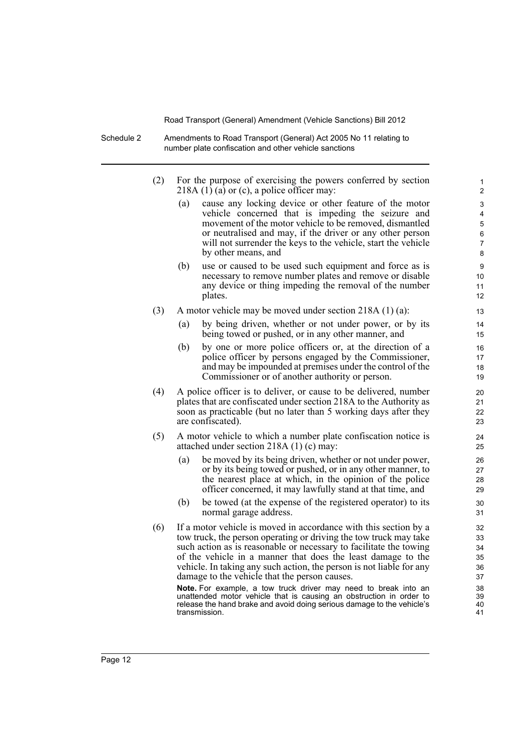Schedule 2 Amendments to Road Transport (General) Act 2005 No 11 relating to number plate confiscation and other vehicle sanctions

- (2) For the purpose of exercising the powers conferred by section 218A  $(1)$   $(a)$  or  $(c)$ , a police officer may:
	- (a) cause any locking device or other feature of the motor vehicle concerned that is impeding the seizure and movement of the motor vehicle to be removed, dismantled or neutralised and may, if the driver or any other person will not surrender the keys to the vehicle, start the vehicle by other means, and

- (b) use or caused to be used such equipment and force as is necessary to remove number plates and remove or disable any device or thing impeding the removal of the number plates.
- (3) A motor vehicle may be moved under section 218A (1) (a):
	- (a) by being driven, whether or not under power, or by its being towed or pushed, or in any other manner, and
	- (b) by one or more police officers or, at the direction of a police officer by persons engaged by the Commissioner, and may be impounded at premises under the control of the Commissioner or of another authority or person.
- (4) A police officer is to deliver, or cause to be delivered, number plates that are confiscated under section 218A to the Authority as soon as practicable (but no later than 5 working days after they are confiscated).
- (5) A motor vehicle to which a number plate confiscation notice is attached under section 218A (1) (c) may:
	- (a) be moved by its being driven, whether or not under power, or by its being towed or pushed, or in any other manner, to the nearest place at which, in the opinion of the police officer concerned, it may lawfully stand at that time, and
	- (b) be towed (at the expense of the registered operator) to its normal garage address.
- (6) If a motor vehicle is moved in accordance with this section by a tow truck, the person operating or driving the tow truck may take such action as is reasonable or necessary to facilitate the towing of the vehicle in a manner that does the least damage to the vehicle. In taking any such action, the person is not liable for any damage to the vehicle that the person causes.

**Note.** For example, a tow truck driver may need to break into an unattended motor vehicle that is causing an obstruction in order to release the hand brake and avoid doing serious damage to the vehicle's transmission.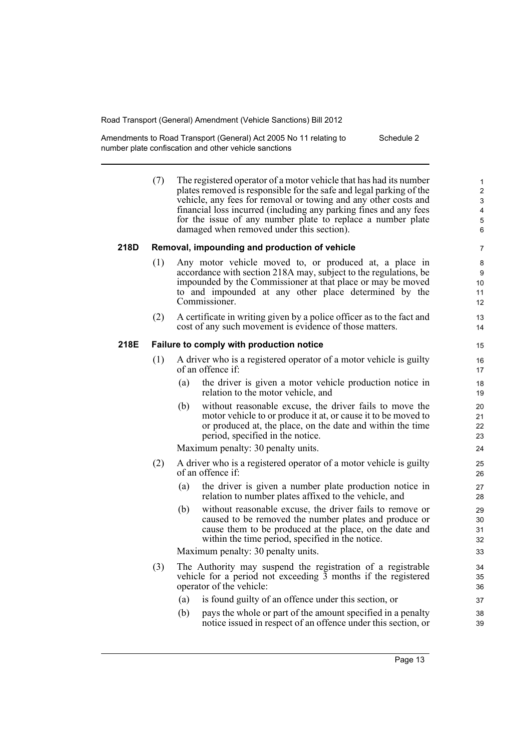Amendments to Road Transport (General) Act 2005 No 11 relating to number plate confiscation and other vehicle sanctions Schedule 2

> (7) The registered operator of a motor vehicle that has had its number plates removed is responsible for the safe and legal parking of the vehicle, any fees for removal or towing and any other costs and financial loss incurred (including any parking fines and any fees for the issue of any number plate to replace a number plate damaged when removed under this section).

#### **218D Removal, impounding and production of vehicle**

- (1) Any motor vehicle moved to, or produced at, a place in accordance with section 218A may, subject to the regulations, be impounded by the Commissioner at that place or may be moved to and impounded at any other place determined by the Commissioner.
- (2) A certificate in writing given by a police officer as to the fact and cost of any such movement is evidence of those matters.

#### **218E Failure to comply with production notice**

- (1) A driver who is a registered operator of a motor vehicle is guilty of an offence if:
	- (a) the driver is given a motor vehicle production notice in relation to the motor vehicle, and
	- (b) without reasonable excuse, the driver fails to move the motor vehicle to or produce it at, or cause it to be moved to or produced at, the place, on the date and within the time period, specified in the notice.

Maximum penalty: 30 penalty units.

- (2) A driver who is a registered operator of a motor vehicle is guilty of an offence if:
	- (a) the driver is given a number plate production notice in relation to number plates affixed to the vehicle, and
	- (b) without reasonable excuse, the driver fails to remove or caused to be removed the number plates and produce or cause them to be produced at the place, on the date and within the time period, specified in the notice.

Maximum penalty: 30 penalty units.

- (3) The Authority may suspend the registration of a registrable vehicle for a period not exceeding 3 months if the registered operator of the vehicle:
	- (a) is found guilty of an offence under this section, or
	- (b) pays the whole or part of the amount specified in a penalty notice issued in respect of an offence under this section, or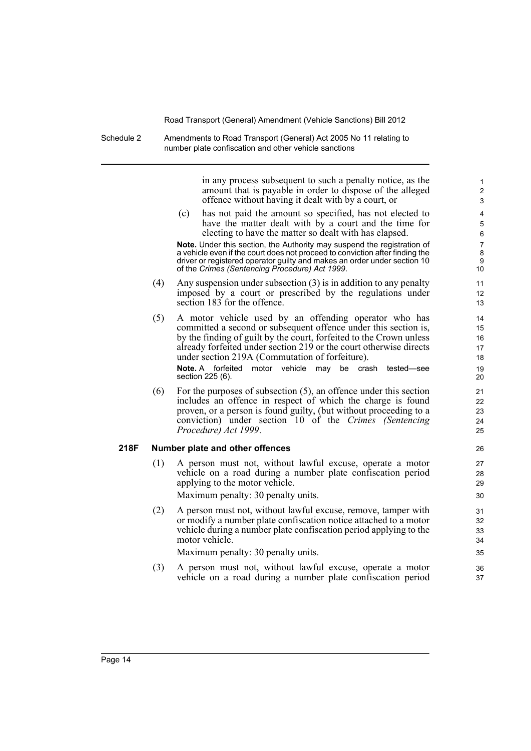Schedule 2 Amendments to Road Transport (General) Act 2005 No 11 relating to number plate confiscation and other vehicle sanctions

> in any process subsequent to such a penalty notice, as the amount that is payable in order to dispose of the alleged offence without having it dealt with by a court, or

(c) has not paid the amount so specified, has not elected to have the matter dealt with by a court and the time for electing to have the matter so dealt with has elapsed.

**Note.** Under this section, the Authority may suspend the registration of a vehicle even if the court does not proceed to conviction after finding the driver or registered operator guilty and makes an order under section 10 of the *Crimes (Sentencing Procedure) Act 1999*.

- (4) Any suspension under subsection (3) is in addition to any penalty imposed by a court or prescribed by the regulations under section 183 for the offence.
- (5) A motor vehicle used by an offending operator who has committed a second or subsequent offence under this section is, by the finding of guilt by the court, forfeited to the Crown unless already forfeited under section 219 or the court otherwise directs under section 219A (Commutation of forfeiture).

**Note.** A forfeited motor vehicle may be crash tested—see section 225 (6).

(6) For the purposes of subsection (5), an offence under this section includes an offence in respect of which the charge is found proven, or a person is found guilty, (but without proceeding to a conviction) under section 10 of the *Crimes (Sentencing Procedure) Act 1999*.

#### **218F Number plate and other offences**

- (1) A person must not, without lawful excuse, operate a motor vehicle on a road during a number plate confiscation period applying to the motor vehicle. Maximum penalty: 30 penalty units.
- (2) A person must not, without lawful excuse, remove, tamper with or modify a number plate confiscation notice attached to a motor vehicle during a number plate confiscation period applying to the motor vehicle.

Maximum penalty: 30 penalty units.

(3) A person must not, without lawful excuse, operate a motor vehicle on a road during a number plate confiscation period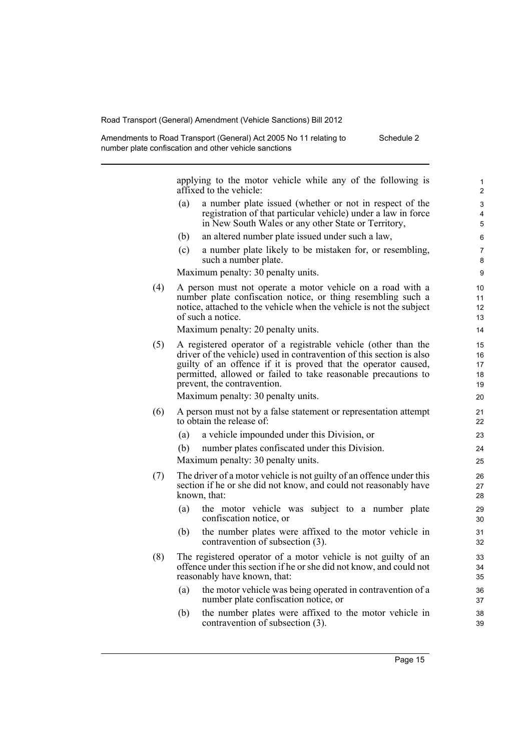| Amendments to Road Transport (General) Act 2005 No 11 relating to | Schedule 2 |
|-------------------------------------------------------------------|------------|
| number plate confiscation and other vehicle sanctions             |            |

applying to the motor vehicle while any of the following is affixed to the vehicle:

- (a) a number plate issued (whether or not in respect of the registration of that particular vehicle) under a law in force in New South Wales or any other State or Territory,
- (b) an altered number plate issued under such a law,
- (c) a number plate likely to be mistaken for, or resembling, such a number plate.

Maximum penalty: 30 penalty units.

(4) A person must not operate a motor vehicle on a road with a number plate confiscation notice, or thing resembling such a notice, attached to the vehicle when the vehicle is not the subject of such a notice.

Maximum penalty: 20 penalty units.

(5) A registered operator of a registrable vehicle (other than the driver of the vehicle) used in contravention of this section is also guilty of an offence if it is proved that the operator caused, permitted, allowed or failed to take reasonable precautions to prevent, the contravention.

Maximum penalty: 30 penalty units.

- (6) A person must not by a false statement or representation attempt to obtain the release of:
	- (a) a vehicle impounded under this Division, or
	- (b) number plates confiscated under this Division.

Maximum penalty: 30 penalty units.

- (7) The driver of a motor vehicle is not guilty of an offence under this section if he or she did not know, and could not reasonably have known, that:
	- (a) the motor vehicle was subject to a number plate confiscation notice, or
	- (b) the number plates were affixed to the motor vehicle in contravention of subsection (3).
- (8) The registered operator of a motor vehicle is not guilty of an offence under this section if he or she did not know, and could not reasonably have known, that:
	- (a) the motor vehicle was being operated in contravention of a number plate confiscation notice, or
	- (b) the number plates were affixed to the motor vehicle in contravention of subsection (3).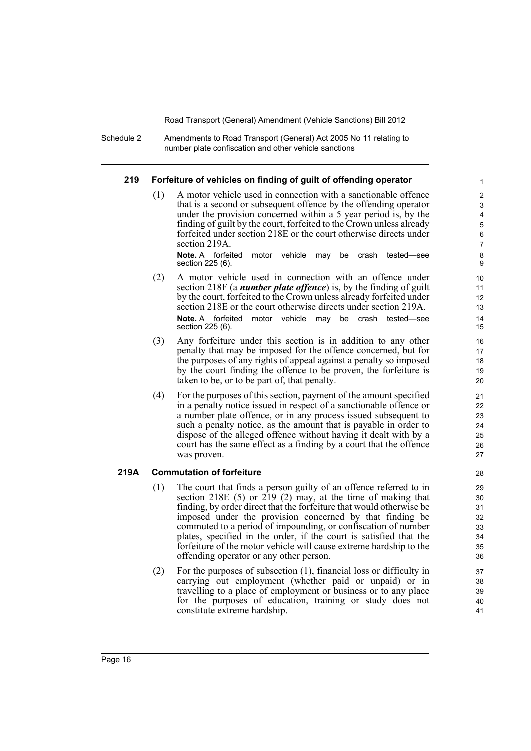Schedule 2 Amendments to Road Transport (General) Act 2005 No 11 relating to number plate confiscation and other vehicle sanctions

#### **219 Forfeiture of vehicles on finding of guilt of offending operator**

(1) A motor vehicle used in connection with a sanctionable offence that is a second or subsequent offence by the offending operator under the provision concerned within a 5 year period is, by the finding of guilt by the court, forfeited to the Crown unless already forfeited under section 218E or the court otherwise directs under section 219A.

**Note.** A forfeited motor vehicle may be crash tested—see section 225 (6).

- (2) A motor vehicle used in connection with an offence under section 218F (a *number plate offence*) is, by the finding of guilt by the court, forfeited to the Crown unless already forfeited under section 218E or the court otherwise directs under section 219A. **Note.** A forfeited motor vehicle may be crash tested—see section 225 (6).
- (3) Any forfeiture under this section is in addition to any other penalty that may be imposed for the offence concerned, but for the purposes of any rights of appeal against a penalty so imposed by the court finding the offence to be proven, the forfeiture is taken to be, or to be part of, that penalty.
- (4) For the purposes of this section, payment of the amount specified in a penalty notice issued in respect of a sanctionable offence or a number plate offence, or in any process issued subsequent to such a penalty notice, as the amount that is payable in order to dispose of the alleged offence without having it dealt with by a court has the same effect as a finding by a court that the offence was proven.

#### **219A Commutation of forfeiture**

- (1) The court that finds a person guilty of an offence referred to in section 218E  $(5)$  or 219  $(2)$  may, at the time of making that finding, by order direct that the forfeiture that would otherwise be imposed under the provision concerned by that finding be commuted to a period of impounding, or confiscation of number plates, specified in the order, if the court is satisfied that the forfeiture of the motor vehicle will cause extreme hardship to the offending operator or any other person.
- (2) For the purposes of subsection (1), financial loss or difficulty in carrying out employment (whether paid or unpaid) or in travelling to a place of employment or business or to any place for the purposes of education, training or study does not constitute extreme hardship.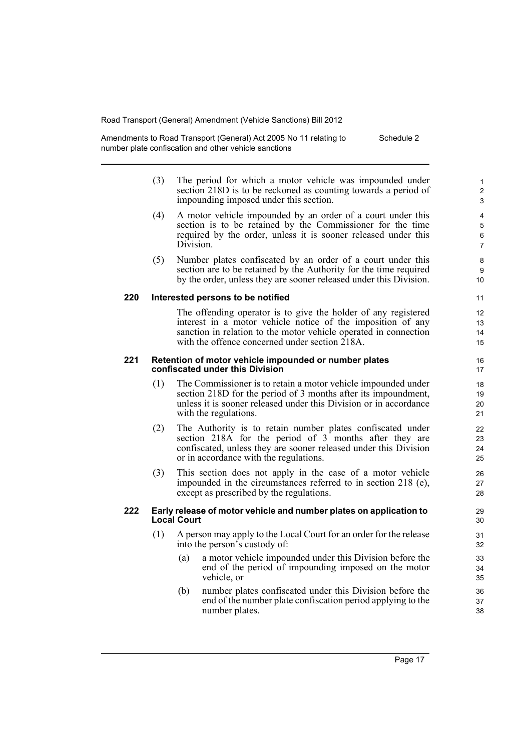Amendments to Road Transport (General) Act 2005 No 11 relating to number plate confiscation and other vehicle sanctions Schedule 2

- (3) The period for which a motor vehicle was impounded under section 218D is to be reckoned as counting towards a period of impounding imposed under this section.
- (4) A motor vehicle impounded by an order of a court under this section is to be retained by the Commissioner for the time required by the order, unless it is sooner released under this Division.
- (5) Number plates confiscated by an order of a court under this section are to be retained by the Authority for the time required by the order, unless they are sooner released under this Division.

#### **220 Interested persons to be notified**

The offending operator is to give the holder of any registered interest in a motor vehicle notice of the imposition of any sanction in relation to the motor vehicle operated in connection with the offence concerned under section 218A.

#### **221 Retention of motor vehicle impounded or number plates confiscated under this Division**

- (1) The Commissioner is to retain a motor vehicle impounded under section 218D for the period of 3 months after its impoundment, unless it is sooner released under this Division or in accordance with the regulations.
- (2) The Authority is to retain number plates confiscated under section 218A for the period of 3 months after they are confiscated, unless they are sooner released under this Division or in accordance with the regulations.
- (3) This section does not apply in the case of a motor vehicle impounded in the circumstances referred to in section 218 (e), except as prescribed by the regulations.

#### **222 Early release of motor vehicle and number plates on application to Local Court**

- (1) A person may apply to the Local Court for an order for the release into the person's custody of:
	- (a) a motor vehicle impounded under this Division before the end of the period of impounding imposed on the motor vehicle, or
	- (b) number plates confiscated under this Division before the end of the number plate confiscation period applying to the number plates.

Page 17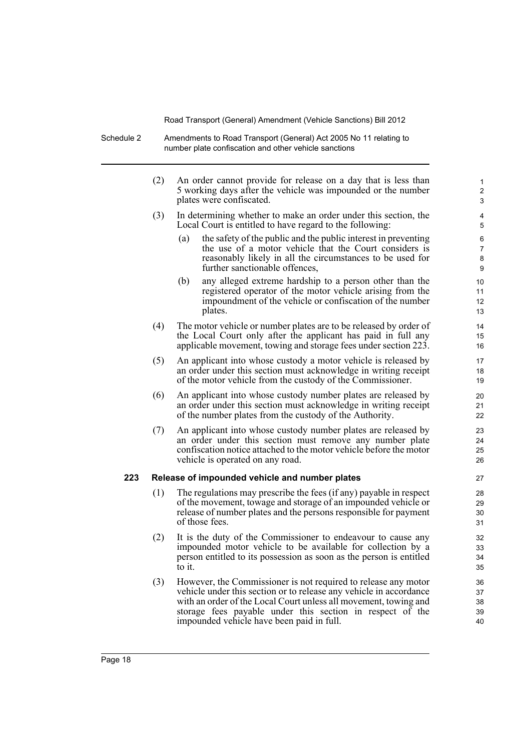Schedule 2 Amendments to Road Transport (General) Act 2005 No 11 relating to number plate confiscation and other vehicle sanctions

|     | (2) | An order cannot provide for release on a day that is less than<br>5 working days after the vehicle was impounded or the number<br>plates were confiscated.                                                                                                                                                         | 1<br>2<br>3                |
|-----|-----|--------------------------------------------------------------------------------------------------------------------------------------------------------------------------------------------------------------------------------------------------------------------------------------------------------------------|----------------------------|
|     | (3) | In determining whether to make an order under this section, the<br>Local Court is entitled to have regard to the following:                                                                                                                                                                                        | 4<br>5                     |
|     |     | the safety of the public and the public interest in preventing<br>(a)<br>the use of a motor vehicle that the Court considers is<br>reasonably likely in all the circumstances to be used for<br>further sanctionable offences,                                                                                     | 6<br>7<br>8<br>9           |
|     |     | any alleged extreme hardship to a person other than the<br>(b)<br>registered operator of the motor vehicle arising from the<br>impoundment of the vehicle or confiscation of the number<br>plates.                                                                                                                 | 10<br>11<br>12<br>13       |
|     | (4) | The motor vehicle or number plates are to be released by order of<br>the Local Court only after the applicant has paid in full any<br>applicable movement, towing and storage fees under section 223.                                                                                                              | 14<br>15<br>16             |
|     | (5) | An applicant into whose custody a motor vehicle is released by<br>an order under this section must acknowledge in writing receipt<br>of the motor vehicle from the custody of the Commissioner.                                                                                                                    | 17<br>18<br>19             |
|     | (6) | An applicant into whose custody number plates are released by<br>an order under this section must acknowledge in writing receipt<br>of the number plates from the custody of the Authority.                                                                                                                        | 20<br>21<br>22             |
|     | (7) | An applicant into whose custody number plates are released by<br>an order under this section must remove any number plate<br>confiscation notice attached to the motor vehicle before the motor<br>vehicle is operated on any road.                                                                                | 23<br>24<br>25<br>26       |
| 223 |     | Release of impounded vehicle and number plates                                                                                                                                                                                                                                                                     | 27                         |
|     | (1) | The regulations may prescribe the fees (if any) payable in respect<br>of the movement, towage and storage of an impounded vehicle or<br>release of number plates and the persons responsible for payment<br>of those fees.                                                                                         | 28<br>29<br>30<br>31       |
|     | (2) | It is the duty of the Commissioner to endeavour to cause any<br>impounded motor vehicle to be available for collection by a<br>person entitled to its possession as soon as the person is entitled<br>to it.                                                                                                       | 32<br>33<br>34<br>35       |
|     | (3) | However, the Commissioner is not required to release any motor<br>vehicle under this section or to release any vehicle in accordance<br>with an order of the Local Court unless all movement, towing and<br>storage fees payable under this section in respect of the<br>impounded vehicle have been paid in full. | 36<br>37<br>38<br>39<br>40 |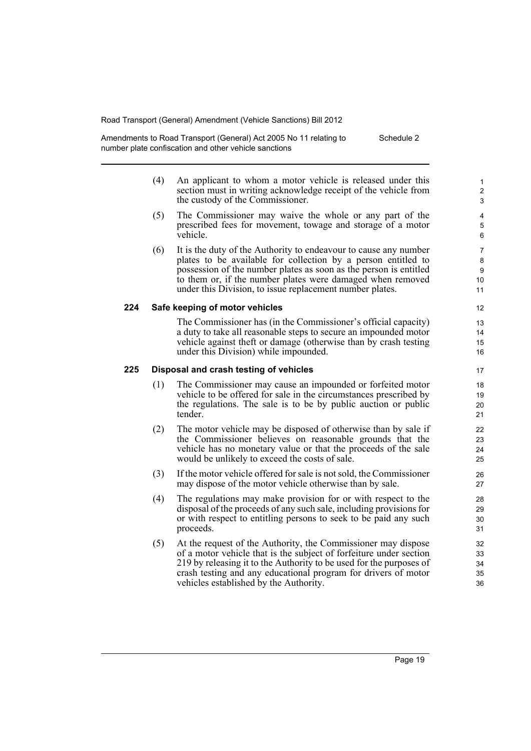Amendments to Road Transport (General) Act 2005 No 11 relating to number plate confiscation and other vehicle sanctions Schedule 2

- (4) An applicant to whom a motor vehicle is released under this section must in writing acknowledge receipt of the vehicle from the custody of the Commissioner.
- (5) The Commissioner may waive the whole or any part of the prescribed fees for movement, towage and storage of a motor vehicle.
- (6) It is the duty of the Authority to endeavour to cause any number plates to be available for collection by a person entitled to possession of the number plates as soon as the person is entitled to them or, if the number plates were damaged when removed under this Division, to issue replacement number plates.

#### **224 Safe keeping of motor vehicles**

The Commissioner has (in the Commissioner's official capacity) a duty to take all reasonable steps to secure an impounded motor vehicle against theft or damage (otherwise than by crash testing under this Division) while impounded.

#### **225 Disposal and crash testing of vehicles**

- (1) The Commissioner may cause an impounded or forfeited motor vehicle to be offered for sale in the circumstances prescribed by the regulations. The sale is to be by public auction or public tender.
- (2) The motor vehicle may be disposed of otherwise than by sale if the Commissioner believes on reasonable grounds that the vehicle has no monetary value or that the proceeds of the sale would be unlikely to exceed the costs of sale.
- (3) If the motor vehicle offered for sale is not sold, the Commissioner may dispose of the motor vehicle otherwise than by sale.
- (4) The regulations may make provision for or with respect to the disposal of the proceeds of any such sale, including provisions for or with respect to entitling persons to seek to be paid any such proceeds.
- (5) At the request of the Authority, the Commissioner may dispose of a motor vehicle that is the subject of forfeiture under section 219 by releasing it to the Authority to be used for the purposes of crash testing and any educational program for drivers of motor vehicles established by the Authority.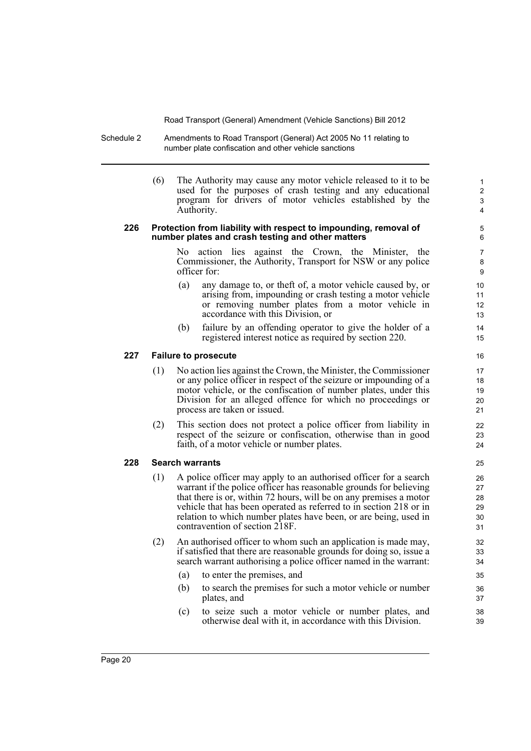Schedule 2 Amendments to Road Transport (General) Act 2005 No 11 relating to number plate confiscation and other vehicle sanctions

> (6) The Authority may cause any motor vehicle released to it to be used for the purposes of crash testing and any educational program for drivers of motor vehicles established by the Authority.

#### **226 Protection from liability with respect to impounding, removal of number plates and crash testing and other matters**

No action lies against the Crown, the Minister, the Commissioner, the Authority, Transport for NSW or any police officer for:

- (a) any damage to, or theft of, a motor vehicle caused by, or arising from, impounding or crash testing a motor vehicle or removing number plates from a motor vehicle in accordance with this Division, or
- (b) failure by an offending operator to give the holder of a registered interest notice as required by section 220.

#### **227 Failure to prosecute**

- (1) No action lies against the Crown, the Minister, the Commissioner or any police officer in respect of the seizure or impounding of a motor vehicle, or the confiscation of number plates, under this Division for an alleged offence for which no proceedings or process are taken or issued.
- (2) This section does not protect a police officer from liability in respect of the seizure or confiscation, otherwise than in good faith, of a motor vehicle or number plates.

#### **228 Search warrants**

- (1) A police officer may apply to an authorised officer for a search warrant if the police officer has reasonable grounds for believing that there is or, within 72 hours, will be on any premises a motor vehicle that has been operated as referred to in section 218 or in relation to which number plates have been, or are being, used in contravention of section 218F.
- (2) An authorised officer to whom such an application is made may, if satisfied that there are reasonable grounds for doing so, issue a search warrant authorising a police officer named in the warrant:
	- (a) to enter the premises, and
	- (b) to search the premises for such a motor vehicle or number plates, and
	- (c) to seize such a motor vehicle or number plates, and otherwise deal with it, in accordance with this Division.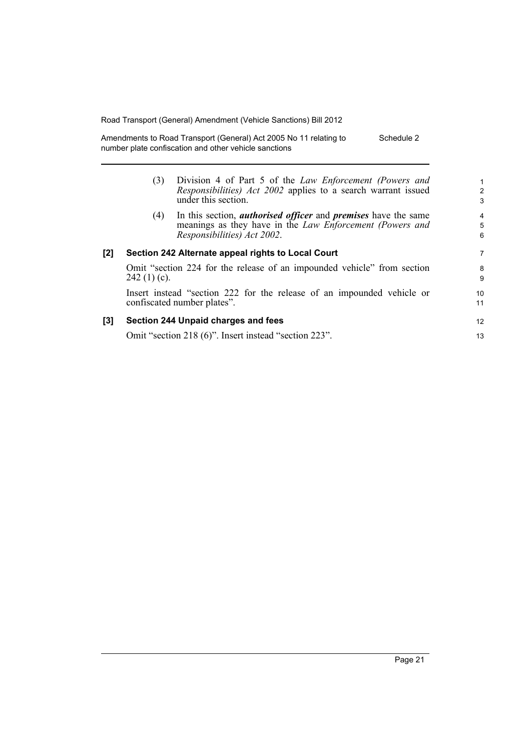Amendments to Road Transport (General) Act 2005 No 11 relating to number plate confiscation and other vehicle sanctions Schedule 2

|     | (3)                                                                                                   | Division 4 of Part 5 of the <i>Law Enforcement (Powers and</i><br><i>Responsibilities</i> ) <i>Act 2002</i> applies to a search warrant issued<br>under this section.   | $\mathbf 1$<br>$\overline{2}$<br>3 |
|-----|-------------------------------------------------------------------------------------------------------|-------------------------------------------------------------------------------------------------------------------------------------------------------------------------|------------------------------------|
|     | (4)                                                                                                   | In this section, <i>authorised officer</i> and <i>premises</i> have the same<br>meanings as they have in the Law Enforcement (Powers and<br>Responsibilities) Act 2002. | $\overline{4}$<br>5<br>6           |
| [2] |                                                                                                       | Section 242 Alternate appeal rights to Local Court                                                                                                                      | 7                                  |
|     | Omit "section 224 for the release of an impounded vehicle" from section<br>$242(1)(c)$ .              |                                                                                                                                                                         |                                    |
|     | Insert instead "section 222 for the release of an impounded vehicle or<br>confiscated number plates". |                                                                                                                                                                         |                                    |
| [3] |                                                                                                       | Section 244 Unpaid charges and fees                                                                                                                                     | 12                                 |
|     |                                                                                                       | Omit "section 218 (6)". Insert instead "section 223".                                                                                                                   | 13                                 |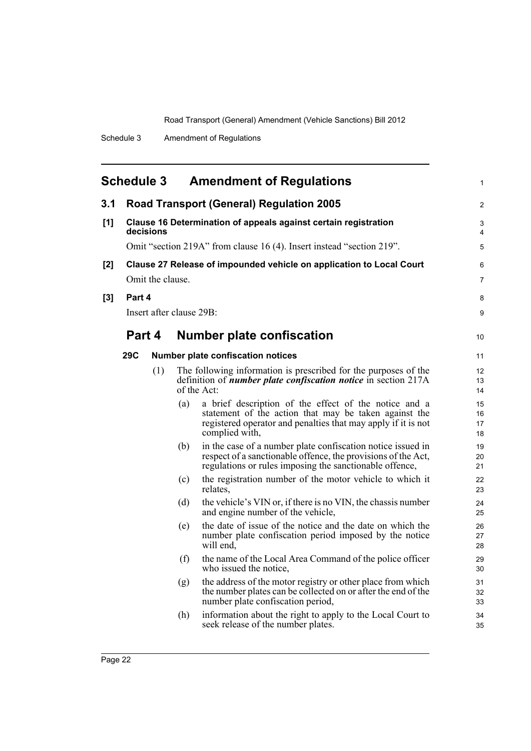<span id="page-29-0"></span>

| <b>Schedule 3</b><br><b>Amendment of Regulations</b> |                                                                              |                  |                          | 1                                                                                                                                                                                                 |                      |
|------------------------------------------------------|------------------------------------------------------------------------------|------------------|--------------------------|---------------------------------------------------------------------------------------------------------------------------------------------------------------------------------------------------|----------------------|
| 3.1                                                  | <b>Road Transport (General) Regulation 2005</b>                              |                  |                          |                                                                                                                                                                                                   | 2                    |
| [1]                                                  | Clause 16 Determination of appeals against certain registration<br>decisions |                  |                          |                                                                                                                                                                                                   | 3<br>$\overline{4}$  |
|                                                      | Omit "section 219A" from clause 16 (4). Insert instead "section 219".        |                  |                          |                                                                                                                                                                                                   | 5                    |
| [2]                                                  | Clause 27 Release of impounded vehicle on application to Local Court         |                  |                          |                                                                                                                                                                                                   | 6                    |
|                                                      |                                                                              | Omit the clause. |                          |                                                                                                                                                                                                   | $\overline{7}$       |
| $[3]$                                                | Part 4                                                                       |                  |                          | 8                                                                                                                                                                                                 |                      |
|                                                      |                                                                              |                  | Insert after clause 29B: |                                                                                                                                                                                                   | 9                    |
|                                                      | Part 4                                                                       |                  |                          | <b>Number plate confiscation</b>                                                                                                                                                                  | 10                   |
|                                                      | 29C                                                                          |                  |                          | <b>Number plate confiscation notices</b>                                                                                                                                                          | 11                   |
|                                                      |                                                                              | (1)              |                          | The following information is prescribed for the purposes of the<br>definition of <i>number plate confiscation notice</i> in section 217A<br>of the Act:                                           | 12<br>13<br>14       |
|                                                      |                                                                              |                  | (a)                      | a brief description of the effect of the notice and a<br>statement of the action that may be taken against the<br>registered operator and penalties that may apply if it is not<br>complied with, | 15<br>16<br>17<br>18 |
|                                                      |                                                                              |                  | (b)                      | in the case of a number plate confiscation notice issued in<br>respect of a sanctionable offence, the provisions of the Act,<br>regulations or rules imposing the sanctionable offence,           | 19<br>20<br>21       |
|                                                      |                                                                              |                  | (c)                      | the registration number of the motor vehicle to which it<br>relates.                                                                                                                              | 22<br>23             |
|                                                      |                                                                              |                  | (d)                      | the vehicle's VIN or, if there is no VIN, the chassis number<br>and engine number of the vehicle,                                                                                                 | 24<br>25             |
|                                                      |                                                                              |                  | (e)                      | the date of issue of the notice and the date on which the<br>number plate confiscation period imposed by the notice<br>will end.                                                                  | 26<br>27<br>28       |
|                                                      |                                                                              |                  | (f)                      | the name of the Local Area Command of the police officer<br>who issued the notice,                                                                                                                | 29<br>30             |
|                                                      |                                                                              |                  | (g)                      | the address of the motor registry or other place from which<br>the number plates can be collected on or after the end of the<br>number plate confiscation period,                                 | 31<br>32<br>33       |
|                                                      |                                                                              |                  | (h)                      | information about the right to apply to the Local Court to<br>seek release of the number plates.                                                                                                  | 34<br>35             |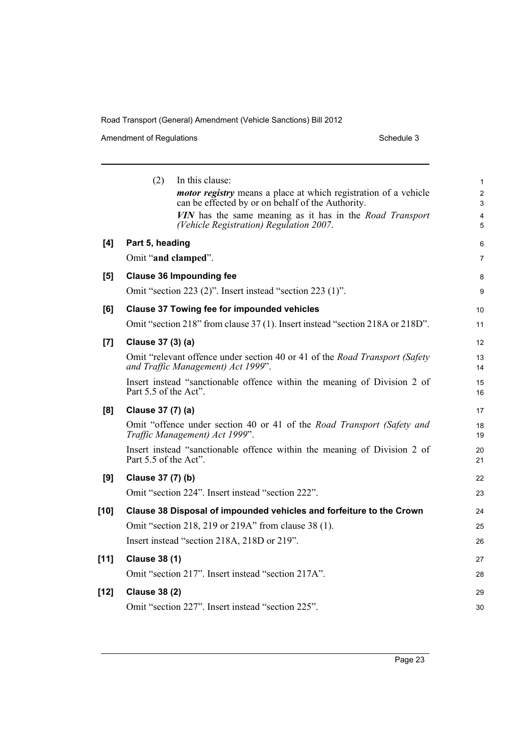Amendment of Regulations and the state of Schedule 3

|        | (2)<br>In this clause:<br><i>motor registry</i> means a place at which registration of a vehicle<br>can be effected by or on behalf of the Authority.<br>VIN has the same meaning as it has in the Road Transport | 1<br>$\overline{c}$<br>3<br>4 |  |
|--------|-------------------------------------------------------------------------------------------------------------------------------------------------------------------------------------------------------------------|-------------------------------|--|
|        | (Vehicle Registration) Regulation 2007.                                                                                                                                                                           | 5                             |  |
| [4]    | Part 5, heading                                                                                                                                                                                                   | 6                             |  |
|        | Omit "and clamped".                                                                                                                                                                                               | 7                             |  |
| [5]    | <b>Clause 36 Impounding fee</b>                                                                                                                                                                                   |                               |  |
|        | Omit "section 223 (2)". Insert instead "section 223 (1)".                                                                                                                                                         |                               |  |
| [6]    | <b>Clause 37 Towing fee for impounded vehicles</b>                                                                                                                                                                |                               |  |
|        | Omit "section 218" from clause 37 (1). Insert instead "section 218A or 218D".                                                                                                                                     | 11                            |  |
| [7]    | Clause 37 (3) (a)                                                                                                                                                                                                 | 12                            |  |
|        | Omit "relevant offence under section 40 or 41 of the Road Transport (Safety<br>and Traffic Management) Act 1999".                                                                                                 | 13<br>14                      |  |
|        | Insert instead "sanctionable offence within the meaning of Division 2 of<br>Part 5.5 of the Act".                                                                                                                 | 15<br>16                      |  |
| [8]    | Clause 37 (7) (a)                                                                                                                                                                                                 | 17                            |  |
|        | Omit "offence under section 40 or 41 of the Road Transport (Safety and<br>Traffic Management) Act 1999".                                                                                                          | 18<br>19                      |  |
|        | Insert instead "sanctionable offence within the meaning of Division 2 of<br>Part 5.5 of the Act".                                                                                                                 | 20<br>21                      |  |
| [9]    | Clause 37 (7) (b)                                                                                                                                                                                                 | 22                            |  |
|        | Omit "section 224". Insert instead "section 222".                                                                                                                                                                 | 23                            |  |
| $[10]$ | Clause 38 Disposal of impounded vehicles and forfeiture to the Crown                                                                                                                                              | 24                            |  |
|        | Omit "section 218, 219 or 219A" from clause 38 (1).                                                                                                                                                               | 25                            |  |
|        | Insert instead "section 218A, 218D or 219".                                                                                                                                                                       | 26                            |  |
| $[11]$ | <b>Clause 38 (1)</b>                                                                                                                                                                                              | 27                            |  |
|        | Omit "section 217". Insert instead "section 217A".                                                                                                                                                                | 28                            |  |
| $[12]$ | <b>Clause 38 (2)</b>                                                                                                                                                                                              | 29                            |  |
|        | Omit "section 227". Insert instead "section 225".                                                                                                                                                                 | 30                            |  |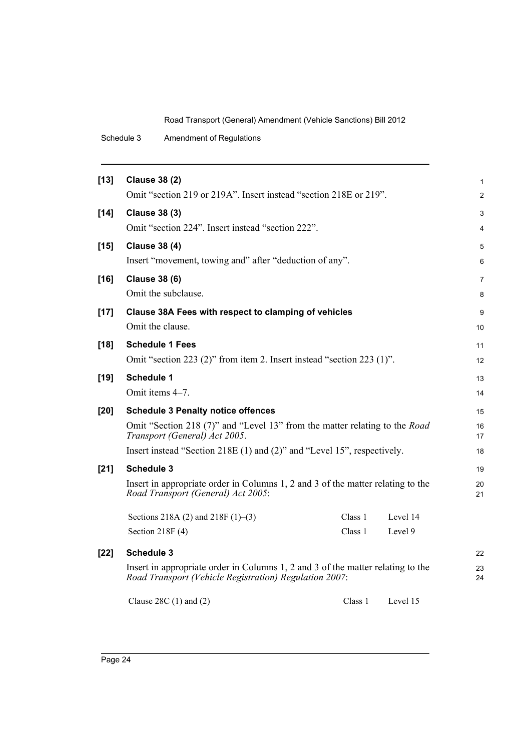| Schedule 3 | <b>Amendment of Regulations</b> |
|------------|---------------------------------|
|------------|---------------------------------|

| $[13]$ | <b>Clause 38 (2)</b>                                                                                                                      |         |          | 1              |
|--------|-------------------------------------------------------------------------------------------------------------------------------------------|---------|----------|----------------|
|        | Omit "section 219 or 219A". Insert instead "section 218E or 219".                                                                         |         |          | $\overline{c}$ |
| $[14]$ | <b>Clause 38 (3)</b>                                                                                                                      |         |          | 3              |
|        | Omit "section 224". Insert instead "section 222".                                                                                         |         |          | 4              |
| $[15]$ | <b>Clause 38 (4)</b>                                                                                                                      |         |          | 5              |
|        | Insert "movement, towing and" after "deduction of any".                                                                                   |         |          | 6              |
| $[16]$ | <b>Clause 38 (6)</b>                                                                                                                      |         |          | 7              |
|        | Omit the subclause.                                                                                                                       |         |          | 8              |
| $[17]$ | Clause 38A Fees with respect to clamping of vehicles                                                                                      |         |          | 9              |
|        | Omit the clause.                                                                                                                          |         |          | 10             |
| $[18]$ | <b>Schedule 1 Fees</b>                                                                                                                    |         |          | 11             |
|        | Omit "section 223 (2)" from item 2. Insert instead "section 223 (1)".                                                                     |         |          | 12             |
| $[19]$ | <b>Schedule 1</b>                                                                                                                         |         |          | 13             |
|        | Omit items 4-7.                                                                                                                           |         |          | 14             |
| $[20]$ | <b>Schedule 3 Penalty notice offences</b>                                                                                                 |         |          | 15             |
|        | Omit "Section 218 (7)" and "Level 13" from the matter relating to the <i>Road</i><br>Transport (General) Act 2005.                        |         |          | 16<br>17       |
|        | Insert instead "Section 218E (1) and (2)" and "Level 15", respectively.                                                                   |         |          | 18             |
| $[21]$ | <b>Schedule 3</b>                                                                                                                         |         |          | 19             |
|        | Insert in appropriate order in Columns 1, 2 and 3 of the matter relating to the<br>Road Transport (General) Act 2005:                     |         |          | 20<br>21       |
|        | Sections 218A (2) and 218F $(1)$ –(3)                                                                                                     | Class 1 | Level 14 |                |
|        | Section $218F(4)$                                                                                                                         | Class 1 | Level 9  |                |
| $[22]$ | <b>Schedule 3</b>                                                                                                                         |         |          | 22             |
|        | Insert in appropriate order in Columns 1, 2 and 3 of the matter relating to the<br>Road Transport (Vehicle Registration) Regulation 2007: |         |          |                |
|        | Clause $28C(1)$ and $(2)$                                                                                                                 | Class 1 | Level 15 |                |
|        |                                                                                                                                           |         |          |                |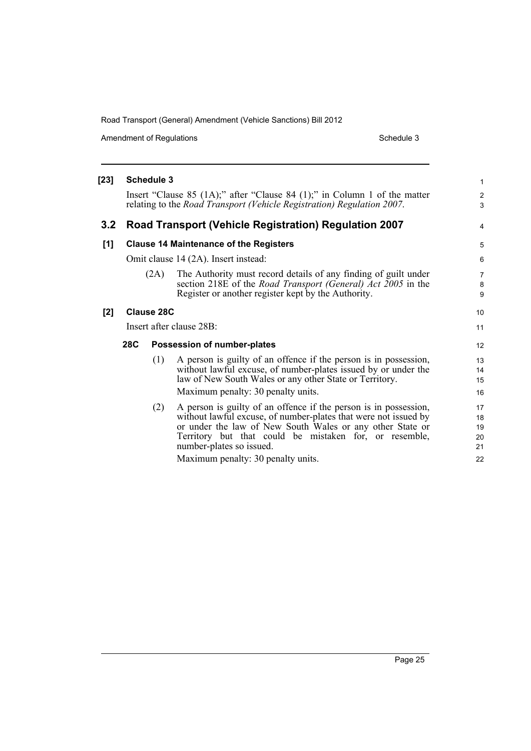Amendment of Regulations and a set of the Schedule 3 Schedule 3

| [23]                |                                               | <b>Schedule 3</b> |                                                                                                                                                                                                                                                                                                                              | $\mathbf{1}$                     |
|---------------------|-----------------------------------------------|-------------------|------------------------------------------------------------------------------------------------------------------------------------------------------------------------------------------------------------------------------------------------------------------------------------------------------------------------------|----------------------------------|
|                     |                                               |                   | Insert "Clause 85 $(1A)$ ;" after "Clause 84 $(1)$ ;" in Column 1 of the matter<br>relating to the Road Transport (Vehicle Registration) Regulation 2007.                                                                                                                                                                    | $\overline{c}$<br>3              |
| 3.2                 |                                               |                   | <b>Road Transport (Vehicle Registration) Regulation 2007</b>                                                                                                                                                                                                                                                                 | 4                                |
| [1]                 | <b>Clause 14 Maintenance of the Registers</b> |                   |                                                                                                                                                                                                                                                                                                                              | 5                                |
|                     | Omit clause 14 (2A). Insert instead:          |                   |                                                                                                                                                                                                                                                                                                                              | 6                                |
|                     |                                               | (2A)              | The Authority must record details of any finding of guilt under<br>section 218E of the <i>Road Transport (General) Act 2005</i> in the<br>Register or another register kept by the Authority.                                                                                                                                | $\overline{7}$<br>8<br>9         |
| Clause 28C<br>$[2]$ |                                               |                   | 10                                                                                                                                                                                                                                                                                                                           |                                  |
|                     | Insert after clause 28B:                      |                   |                                                                                                                                                                                                                                                                                                                              | 11                               |
|                     | <b>28C</b><br>Possession of number-plates     |                   |                                                                                                                                                                                                                                                                                                                              | 12                               |
|                     |                                               | (1)               | A person is guilty of an offence if the person is in possession,<br>without lawful excuse, of number-plates issued by or under the<br>law of New South Wales or any other State or Territory.<br>Maximum penalty: 30 penalty units.                                                                                          | 13<br>14<br>15<br>16             |
|                     |                                               | (2)               | A person is guilty of an offence if the person is in possession,<br>without lawful excuse, of number-plates that were not issued by<br>or under the law of New South Wales or any other State or<br>Territory but that could be mistaken for, or resemble,<br>number-plates so issued.<br>Maximum penalty: 30 penalty units. | 17<br>18<br>19<br>20<br>21<br>22 |

Page 25